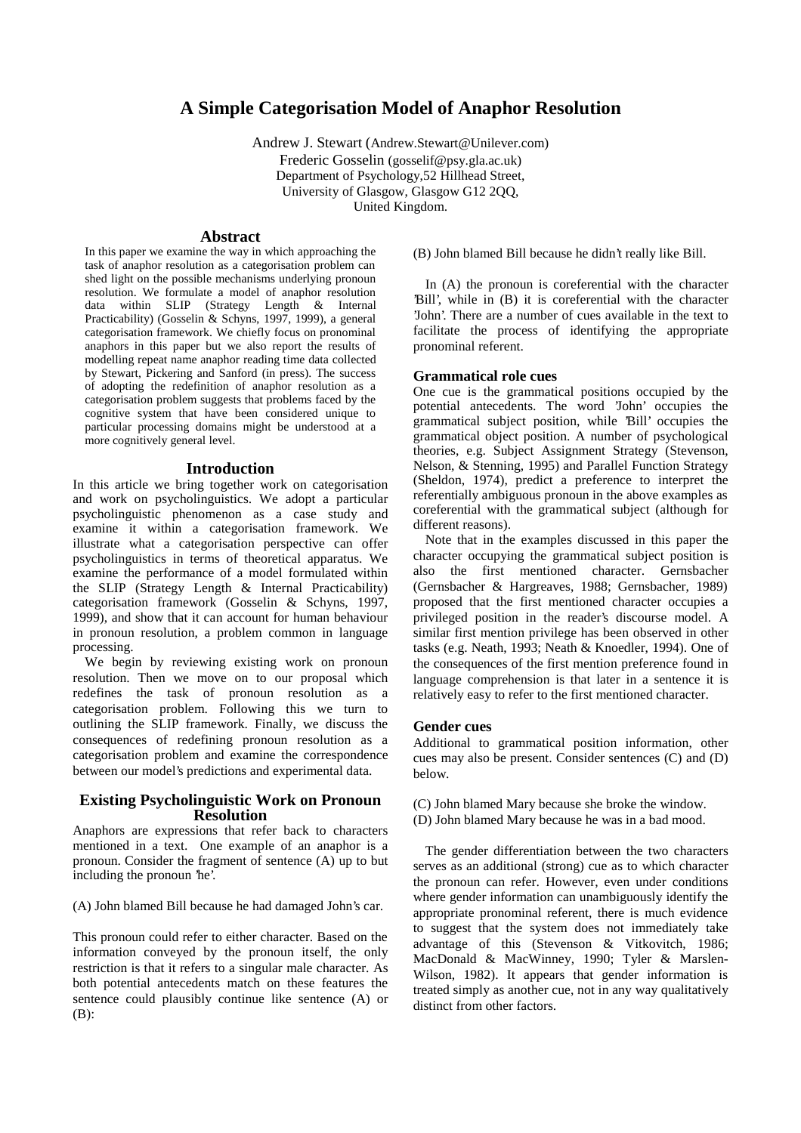# **A Simple Categorisation Model of Anaphor Resolution**

Andrew J. Stewart (Andrew.Stewart@Unilever.com)

Frederic Gosselin (gosselif@psy.gla.ac.uk) Department of Psychology,52 Hillhead Street, University of Glasgow, Glasgow G12 2QQ, United Kingdom.

#### **Abstract**

In this paper we examine the way in which approaching the task of anaphor resolution as a categorisation problem can shed light on the possible mechanisms underlying pronoun resolution. We formulate a model of anaphor resolution data within SLIP (Strategy Length & Internal Practicability) (Gosselin & Schyns, 1997, 1999), a general categorisation framework. We chiefly focus on pronominal anaphors in this paper but we also report the results of modelling repeat name anaphor reading time data collected by Stewart, Pickering and Sanford (in press). The success of adopting the redefinition of anaphor resolution as a categorisation problem suggests that problems faced by the cognitive system that have been considered unique to particular processing domains might be understood at a more cognitively general level.

#### **Introduction**

In this article we bring together work on categorisation and work on psycholinguistics. We adopt a particular psycholinguistic phenomenon as a case study and examine it within a categorisation framework. We illustrate what a categorisation perspective can offer psycholinguistics in terms of theoretical apparatus. We examine the performance of a model formulated within the SLIP (Strategy Length & Internal Practicability) categorisation framework (Gosselin & Schyns, 1997, 1999), and show that it can account for human behaviour in pronoun resolution, a problem common in language processing.

We begin by reviewing existing work on pronoun resolution. Then we move on to our proposal which redefines the task of pronoun resolution as a categorisation problem. Following this we turn to outlining the SLIP framework. Finally, we discuss the consequences of redefining pronoun resolution as a categorisation problem and examine the correspondence between our model's predictions and experimental data.

## **Existing Psycholinguistic Work on Pronoun Resolution**

Anaphors are expressions that refer back to characters mentioned in a text. One example of an anaphor is a pronoun. Consider the fragment of sentence (A) up to but including the pronoun 'he'.

(A) John blamed Bill because he had damaged John's car.

This pronoun could refer to either character. Based on the information conveyed by the pronoun itself, the only restriction is that it refers to a singular male character. As both potential antecedents match on these features the sentence could plausibly continue like sentence (A) or (B):

(B) John blamed Bill because he didn't really like Bill.

In (A) the pronoun is coreferential with the character 'Bill', while in (B) it is coreferential with the character 'John'. There are a number of cues available in the text to facilitate the process of identifying the appropriate pronominal referent.

#### **Grammatical role cues**

One cue is the grammatical positions occupied by the potential antecedents. The word 'John' occupies the grammatical subject position, while 'Bill' occupies the grammatical object position. A number of psychological theories, e.g. Subject Assignment Strategy (Stevenson, Nelson, & Stenning, 1995) and Parallel Function Strategy (Sheldon, 1974), predict a preference to interpret the referentially ambiguous pronoun in the above examples as coreferential with the grammatical subject (although for different reasons).

Note that in the examples discussed in this paper the character occupying the grammatical subject position is also the first mentioned character. Gernsbacher (Gernsbacher & Hargreaves, 1988; Gernsbacher, 1989) proposed that the first mentioned character occupies a privileged position in the reader's discourse model. A similar first mention privilege has been observed in other tasks (e.g. Neath, 1993; Neath & Knoedler, 1994). One of the consequences of the first mention preference found in language comprehension is that later in a sentence it is relatively easy to refer to the first mentioned character.

## **Gender cues**

Additional to grammatical position information, other cues may also be present. Consider sentences (C) and (D) below.

(C) John blamed Mary because she broke the window. (D) John blamed Mary because he was in a bad mood.

The gender differentiation between the two characters serves as an additional (strong) cue as to which character the pronoun can refer. However, even under conditions where gender information can unambiguously identify the appropriate pronominal referent, there is much evidence to suggest that the system does not immediately take advantage of this (Stevenson & Vitkovitch, 1986; MacDonald & MacWinney, 1990; Tyler & Marslen-Wilson, 1982). It appears that gender information is treated simply as another cue, not in any way qualitatively distinct from other factors.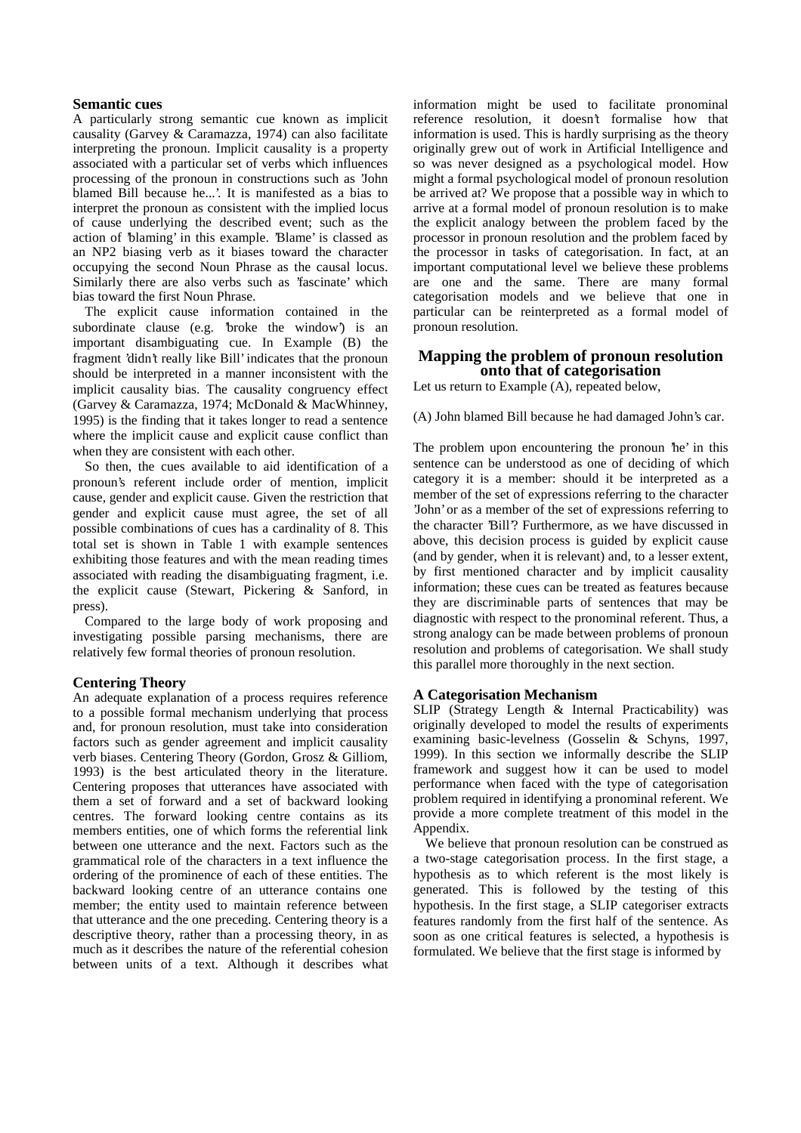#### **Semantic cues**

A particularly strong semantic cue known as implicit causality (Garvey & Caramazza, 1974) can also facilitate interpreting the pronoun. Implicit causality is a property associated with a particular set of verbs which influences processing of the pronoun in constructions such as 'John blamed Bill because he...'. It is manifested as a bias to interpret the pronoun as consistent with the implied locus of cause underlying the described event; such as the action of 'blaming' in this example. 'Blame' is classed as an NP2 biasing verb as it biases toward the character occupying the second Noun Phrase as the causal locus. Similarly there are also verbs such as 'fascinate' which bias toward the first Noun Phrase.

The explicit cause information contained in the subordinate clause (e.g. 'broke the window') is an important disambiguating cue. In Example (B) the fragment 'didn't really like Bill' indicates that the pronoun should be interpreted in a manner inconsistent with the implicit causality bias. The causality congruency effect (Garvey & Caramazza, 1974; McDonald & MacWhinney, 1995) is the finding that it takes longer to read a sentence where the implicit cause and explicit cause conflict than when they are consistent with each other.

So then, the cues available to aid identification of a pronoun's referent include order of mention, implicit cause, gender and explicit cause. Given the restriction that gender and explicit cause must agree, the set of all possible combinations of cues has a cardinality of 8. This total set is shown in Table 1 with example sentences exhibiting those features and with the mean reading times associated with reading the disambiguating fragment, i.e. the explicit cause (Stewart, Pickering & Sanford, in press).

Compared to the large body of work proposing and investigating possible parsing mechanisms, there are relatively few formal theories of pronoun resolution.

## **Centering Theory**

An adequate explanation of a process requires reference to a possible formal mechanism underlying that process and, for pronoun resolution, must take into consideration factors such as gender agreement and implicit causality verb biases. Centering Theory (Gordon, Grosz & Gilliom, 1993) is the best articulated theory in the literature. Centering proposes that utterances have associated with them a set of forward and a set of backward looking centres. The forward looking centre contains as its members entities, one of which forms the referential link between one utterance and the next. Factors such as the grammatical role of the characters in a text influence the ordering of the prominence of each of these entities. The backward looking centre of an utterance contains one member; the entity used to maintain reference between that utterance and the one preceding. Centering theory is a descriptive theory, rather than a processing theory, in as much as it describes the nature of the referential cohesion between units of a text. Although it describes what information might be used to facilitate pronominal reference resolution, it doesn't formalise how that information is used. This is hardly surprising as the theory originally grew out of work in Artificial Intelligence and so was never designed as a psychological model. How might a formal psychological model of pronoun resolution be arrived at? We propose that a possible way in which to arrive at a formal model of pronoun resolution is to make the explicit analogy between the problem faced by the processor in pronoun resolution and the problem faced by the processor in tasks of categorisation. In fact, at an important computational level we believe these problems are one and the same. There are many formal categorisation models and we believe that one in particular can be reinterpreted as a formal model of pronoun resolution.

## **Mapping the problem of pronoun resolution onto that of categorisation**

Let us return to Example (A), repeated below,

(A) John blamed Bill because he had damaged John's car.

The problem upon encountering the pronoun 'he' in this sentence can be understood as one of deciding of which category it is a member: should it be interpreted as a member of the set of expressions referring to the character 'John' or as a member of the set of expressions referring to the character 'Bill'? Furthermore, as we have discussed in above, this decision process is guided by explicit cause (and by gender, when it is relevant) and, to a lesser extent, by first mentioned character and by implicit causality information; these cues can be treated as features because they are discriminable parts of sentences that may be diagnostic with respect to the pronominal referent. Thus, a strong analogy can be made between problems of pronoun resolution and problems of categorisation. We shall study this parallel more thoroughly in the next section.

#### **A Categorisation Mechanism**

SLIP (Strategy Length & Internal Practicability) was originally developed to model the results of experiments examining basic-levelness (Gosselin & Schyns, 1997, 1999). In this section we informally describe the SLIP framework and suggest how it can be used to model performance when faced with the type of categorisation problem required in identifying a pronominal referent. We provide a more complete treatment of this model in the Appendix.

We believe that pronoun resolution can be construed as a two-stage categorisation process. In the first stage, a hypothesis as to which referent is the most likely is generated. This is followed by the testing of this hypothesis. In the first stage, a SLIP categoriser extracts features randomly from the first half of the sentence. As soon as one critical features is selected, a hypothesis is formulated. We believe that the first stage is informed by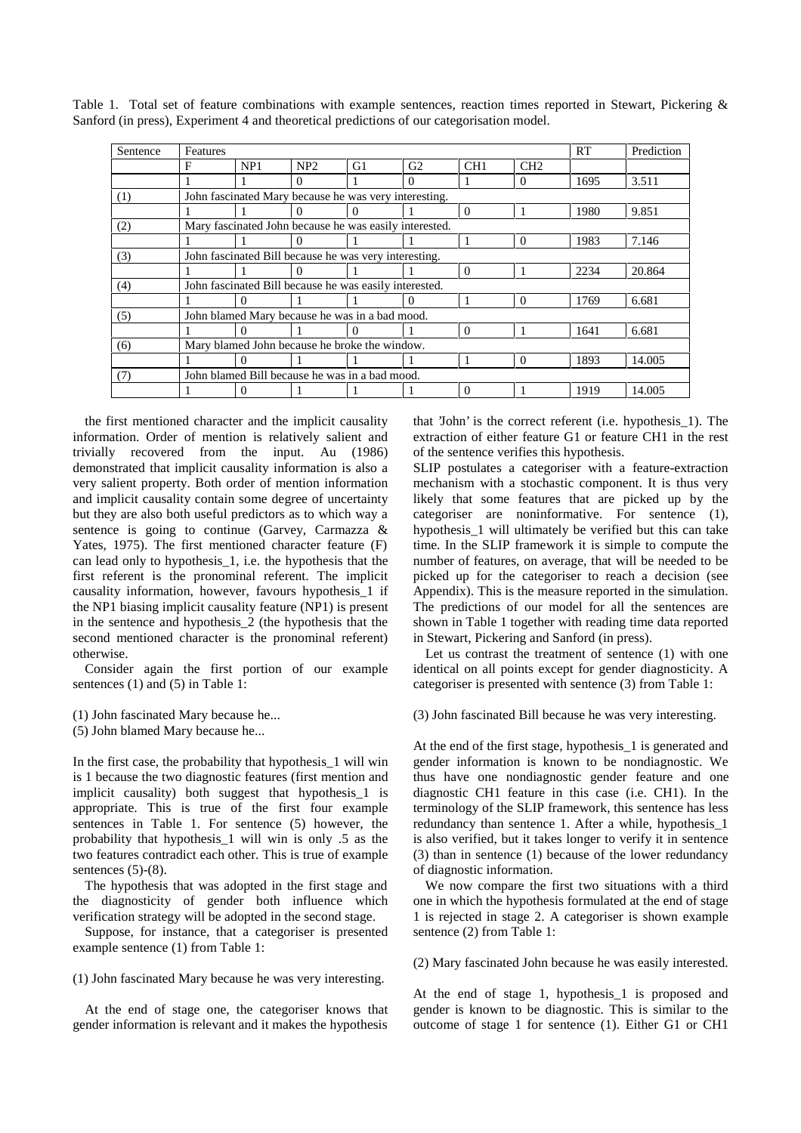| Sentence | Features                                               |     |          |          |          |          |          | RT   | Prediction |
|----------|--------------------------------------------------------|-----|----------|----------|----------|----------|----------|------|------------|
|          | F                                                      | NP1 | NP2      | G1       | G2       | CH1      | CH2      |      |            |
|          |                                                        |     | $\Omega$ |          | $\theta$ |          | 0        | 1695 | 3.511      |
| (1)      | John fascinated Mary because he was very interesting.  |     |          |          |          |          |          |      |            |
|          |                                                        |     | 0        | 0        |          | $\theta$ |          | 1980 | 9.851      |
| (2)      | Mary fascinated John because he was easily interested. |     |          |          |          |          |          |      |            |
|          |                                                        |     | $\theta$ |          |          |          | $\theta$ | 1983 | 7.146      |
| (3)      | John fascinated Bill because he was very interesting.  |     |          |          |          |          |          |      |            |
|          |                                                        |     | $\Omega$ |          |          | $\theta$ |          | 2234 | 20.864     |
| (4)      | John fascinated Bill because he was easily interested. |     |          |          |          |          |          |      |            |
|          |                                                        | 0   |          |          |          |          | $\Omega$ | 1769 | 6.681      |
| (5)      | John blamed Mary because he was in a bad mood.         |     |          |          |          |          |          |      |            |
|          |                                                        | 0   |          | $\theta$ |          | $\theta$ |          | 1641 | 6.681      |
| (6)      | Mary blamed John because he broke the window.          |     |          |          |          |          |          |      |            |
|          |                                                        | 0   |          |          |          |          | 0        | 1893 | 14.005     |
| (7)      | John blamed Bill because he was in a bad mood.         |     |          |          |          |          |          |      |            |
|          |                                                        | 0   |          |          |          | $\Omega$ |          | 1919 | 14.005     |

Table 1. Total set of feature combinations with example sentences, reaction times reported in Stewart, Pickering & Sanford (in press), Experiment 4 and theoretical predictions of our categorisation model.

the first mentioned character and the implicit causality information. Order of mention is relatively salient and trivially recovered from the input. Au (1986) demonstrated that implicit causality information is also a very salient property. Both order of mention information and implicit causality contain some degree of uncertainty but they are also both useful predictors as to which way a sentence is going to continue (Garvey, Carmazza & Yates, 1975). The first mentioned character feature (F) can lead only to hypothesis\_1, i.e. the hypothesis that the first referent is the pronominal referent. The implicit causality information, however, favours hypothesis\_1 if the NP1 biasing implicit causality feature (NP1) is present in the sentence and hypothesis\_2 (the hypothesis that the second mentioned character is the pronominal referent) otherwise.

Consider again the first portion of our example sentences (1) and (5) in Table 1:

(1) John fascinated Mary because he...

(5) John blamed Mary because he...

In the first case, the probability that hypothesis\_1 will win is 1 because the two diagnostic features (first mention and implicit causality) both suggest that hypothesis\_1 is appropriate. This is true of the first four example sentences in Table 1. For sentence (5) however, the probability that hypothesis\_1 will win is only .5 as the two features contradict each other. This is true of example sentences  $(5)-(8)$ .

The hypothesis that was adopted in the first stage and the diagnosticity of gender both influence which verification strategy will be adopted in the second stage.

Suppose, for instance, that a categoriser is presented example sentence (1) from Table 1:

(1) John fascinated Mary because he was very interesting.

At the end of stage one, the categoriser knows that gender information is relevant and it makes the hypothesis

that 'John' is the correct referent (i.e. hypothesis\_1). The extraction of either feature G1 or feature CH1 in the rest of the sentence verifies this hypothesis.

SLIP postulates a categoriser with a feature-extraction mechanism with a stochastic component. It is thus very likely that some features that are picked up by the categoriser are noninformative. For sentence (1), hypothesis\_1 will ultimately be verified but this can take time. In the SLIP framework it is simple to compute the number of features, on average, that will be needed to be picked up for the categoriser to reach a decision (see Appendix). This is the measure reported in the simulation. The predictions of our model for all the sentences are shown in Table 1 together with reading time data reported in Stewart, Pickering and Sanford (in press).

Let us contrast the treatment of sentence (1) with one identical on all points except for gender diagnosticity. A categoriser is presented with sentence (3) from Table 1:

(3) John fascinated Bill because he was very interesting.

At the end of the first stage, hypothesis\_1 is generated and gender information is known to be nondiagnostic. We thus have one nondiagnostic gender feature and one diagnostic CH1 feature in this case (i.e. CH1). In the terminology of the SLIP framework, this sentence has less redundancy than sentence 1. After a while, hypothesis\_1 is also verified, but it takes longer to verify it in sentence (3) than in sentence (1) because of the lower redundancy of diagnostic information.

We now compare the first two situations with a third one in which the hypothesis formulated at the end of stage 1 is rejected in stage 2. A categoriser is shown example sentence (2) from Table 1:

(2) Mary fascinated John because he was easily interested.

At the end of stage 1, hypothesis 1 is proposed and gender is known to be diagnostic. This is similar to the outcome of stage 1 for sentence (1). Either G1 or CH1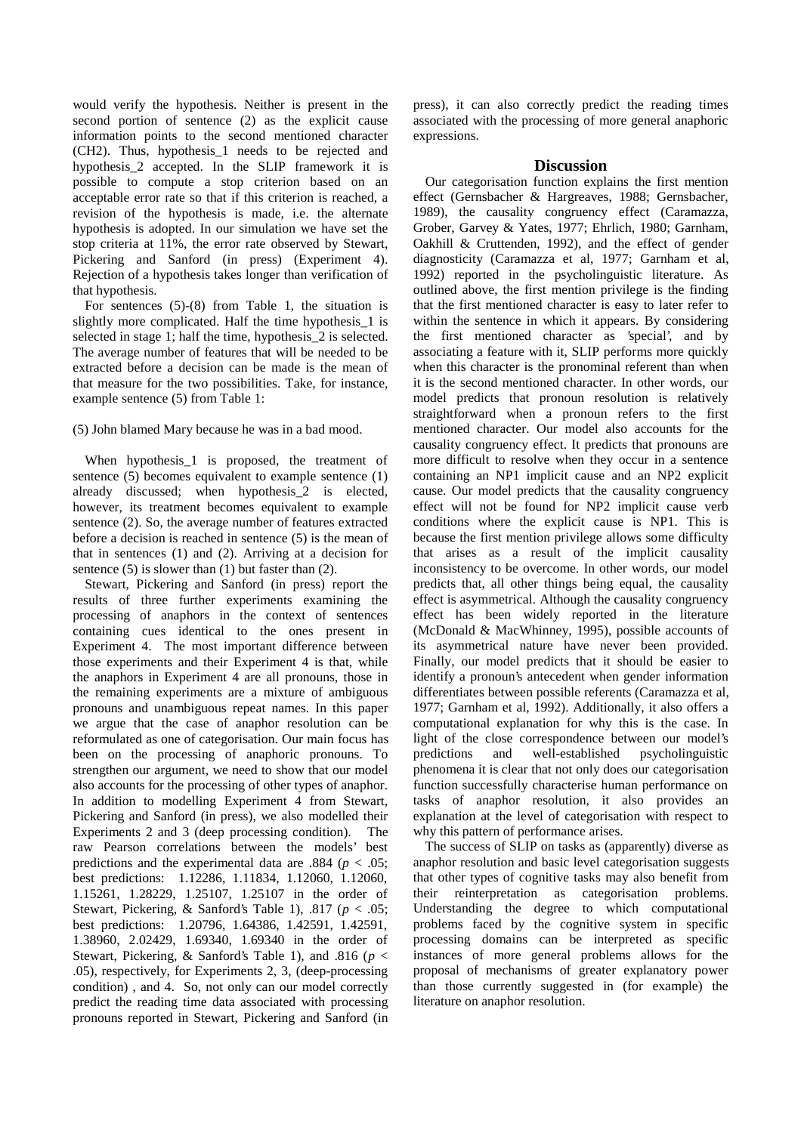would verify the hypothesis. Neither is present in the second portion of sentence (2) as the explicit cause information points to the second mentioned character (CH2). Thus, hypothesis\_1 needs to be rejected and hypothesis\_2 accepted. In the SLIP framework it is possible to compute a stop criterion based on an acceptable error rate so that if this criterion is reached, a revision of the hypothesis is made, i.e. the alternate hypothesis is adopted. In our simulation we have set the stop criteria at 11%, the error rate observed by Stewart, Pickering and Sanford (in press) (Experiment 4). Rejection of a hypothesis takes longer than verification of that hypothesis.

For sentences (5)-(8) from Table 1, the situation is slightly more complicated. Half the time hypothesis 1 is selected in stage 1; half the time, hypothesis\_2 is selected. The average number of features that will be needed to be extracted before a decision can be made is the mean of that measure for the two possibilities. Take, for instance, example sentence (5) from Table 1:

#### (5) John blamed Mary because he was in a bad mood.

When hypothesis\_1 is proposed, the treatment of sentence (5) becomes equivalent to example sentence (1) already discussed; when hypothesis\_2 is elected, however, its treatment becomes equivalent to example sentence (2). So, the average number of features extracted before a decision is reached in sentence (5) is the mean of that in sentences (1) and (2). Arriving at a decision for sentence  $(5)$  is slower than  $(1)$  but faster than  $(2)$ .

Stewart, Pickering and Sanford (in press) report the results of three further experiments examining the processing of anaphors in the context of sentences containing cues identical to the ones present in Experiment 4. The most important difference between those experiments and their Experiment 4 is that, while the anaphors in Experiment 4 are all pronouns, those in the remaining experiments are a mixture of ambiguous pronouns and unambiguous repeat names. In this paper we argue that the case of anaphor resolution can be reformulated as one of categorisation. Our main focus has been on the processing of anaphoric pronouns. To strengthen our argument, we need to show that our model also accounts for the processing of other types of anaphor. In addition to modelling Experiment 4 from Stewart, Pickering and Sanford (in press), we also modelled their Experiments 2 and 3 (deep processing condition). The raw Pearson correlations between the models' best predictions and the experimental data are .884 ( $p < .05$ ; best predictions: 1.12286, 1.11834, 1.12060, 1.12060, 1.15261, 1.28229, 1.25107, 1.25107 in the order of Stewart, Pickering, & Sanford's Table 1), .817 (*p* < .05; best predictions: 1.20796, 1.64386, 1.42591, 1.42591, 1.38960, 2.02429, 1.69340, 1.69340 in the order of Stewart, Pickering, & Sanford's Table 1), and .816 (*p* < .05), respectively, for Experiments 2, 3, (deep-processing condition) , and 4. So, not only can our model correctly predict the reading time data associated with processing pronouns reported in Stewart, Pickering and Sanford (in press), it can also correctly predict the reading times associated with the processing of more general anaphoric expressions.

#### **Discussion**

Our categorisation function explains the first mention effect (Gernsbacher & Hargreaves, 1988; Gernsbacher, 1989), the causality congruency effect (Caramazza, Grober, Garvey & Yates, 1977; Ehrlich, 1980; Garnham, Oakhill & Cruttenden, 1992), and the effect of gender diagnosticity (Caramazza et al, 1977; Garnham et al, 1992) reported in the psycholinguistic literature. As outlined above, the first mention privilege is the finding that the first mentioned character is easy to later refer to within the sentence in which it appears. By considering the first mentioned character as 'special', and by associating a feature with it, SLIP performs more quickly when this character is the pronominal referent than when it is the second mentioned character. In other words, our model predicts that pronoun resolution is relatively straightforward when a pronoun refers to the first mentioned character. Our model also accounts for the causality congruency effect. It predicts that pronouns are more difficult to resolve when they occur in a sentence containing an NP1 implicit cause and an NP2 explicit cause. Our model predicts that the causality congruency effect will not be found for NP2 implicit cause verb conditions where the explicit cause is NP1. This is because the first mention privilege allows some difficulty that arises as a result of the implicit causality inconsistency to be overcome. In other words, our model predicts that, all other things being equal, the causality effect is asymmetrical. Although the causality congruency effect has been widely reported in the literature (McDonald & MacWhinney, 1995), possible accounts of its asymmetrical nature have never been provided. Finally, our model predicts that it should be easier to identify a pronoun's antecedent when gender information differentiates between possible referents (Caramazza et al, 1977; Garnham et al, 1992). Additionally, it also offers a computational explanation for why this is the case. In light of the close correspondence between our model's predictions and well-established psycholinguistic phenomena it is clear that not only does our categorisation function successfully characterise human performance on tasks of anaphor resolution, it also provides an explanation at the level of categorisation with respect to why this pattern of performance arises.

The success of SLIP on tasks as (apparently) diverse as anaphor resolution and basic level categorisation suggests that other types of cognitive tasks may also benefit from their reinterpretation as categorisation problems. Understanding the degree to which computational problems faced by the cognitive system in specific processing domains can be interpreted as specific instances of more general problems allows for the proposal of mechanisms of greater explanatory power than those currently suggested in (for example) the literature on anaphor resolution.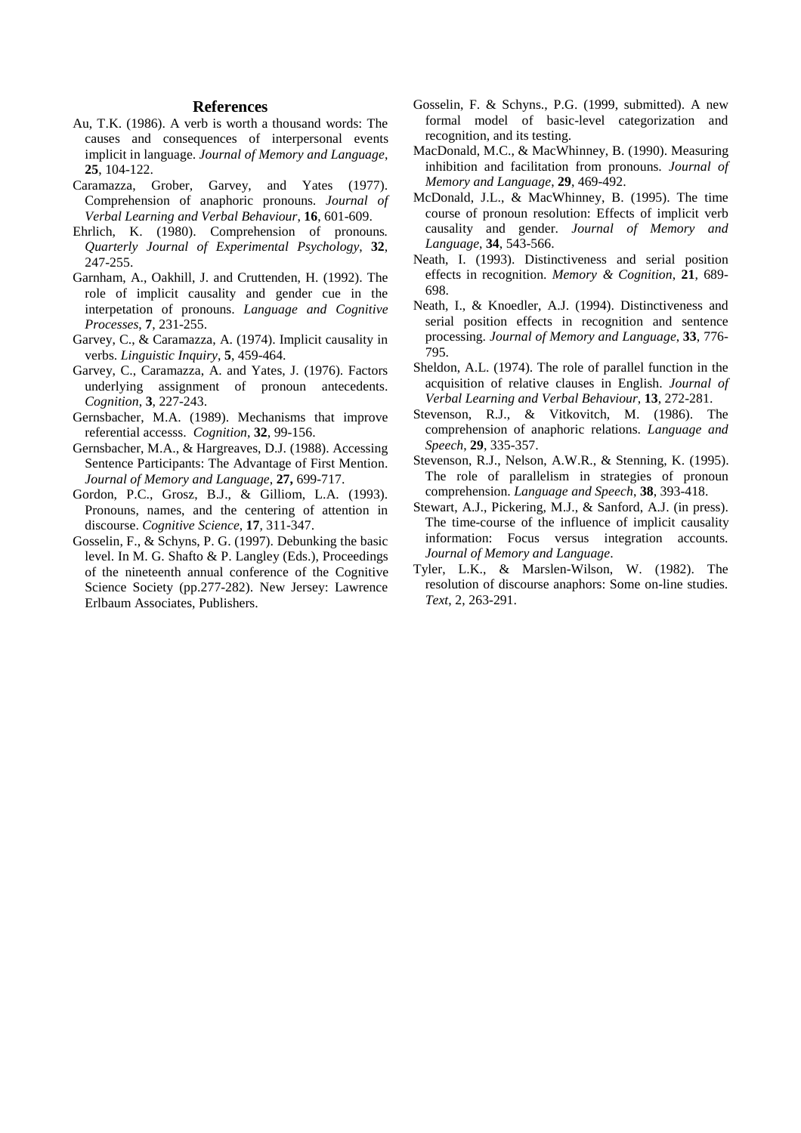## **References**

- Au, T.K. (1986). A verb is worth a thousand words: The causes and consequences of interpersonal events implicit in language. *Journal of Memory and Language*, **25**, 104-122.
- Caramazza, Grober, Garvey, and Yates (1977). Comprehension of anaphoric pronouns. *Journal of Verbal Learning and Verbal Behaviour*, **16**, 601-609.
- Ehrlich, K. (1980). Comprehension of pronouns*. Quarterly Journal of Experimental Psychology*, **32**, 247-255.
- Garnham, A., Oakhill, J. and Cruttenden, H. (1992). The role of implicit causality and gender cue in the interpetation of pronouns. *Language and Cognitive Processes*, **7**, 231-255.
- Garvey, C., & Caramazza, A. (1974). Implicit causality in verbs. *Linguistic Inquiry*, **5**, 459-464.
- Garvey, C., Caramazza, A. and Yates, J. (1976). Factors underlying assignment of pronoun antecedents. *Cognition*, **3**, 227-243.
- Gernsbacher, M.A. (1989). Mechanisms that improve referential accesss. *Cognition*, **32**, 99-156.
- Gernsbacher, M.A., & Hargreaves, D.J. (1988). Accessing Sentence Participants: The Advantage of First Mention. *Journal of Memory and Language*, **27,** 699-717.
- Gordon, P.C., Grosz, B.J., & Gilliom, L.A. (1993). Pronouns, names, and the centering of attention in discourse. *Cognitive Science*, **17**, 311-347.
- Gosselin, F., & Schyns, P. G. (1997). Debunking the basic level. In M. G. Shafto & P. Langley (Eds.), Proceedings of the nineteenth annual conference of the Cognitive Science Society (pp.277-282). New Jersey: Lawrence Erlbaum Associates, Publishers.
- Gosselin, F. & Schyns., P.G. (1999, submitted). A new formal model of basic-level categorization and recognition, and its testing.
- MacDonald, M.C., & MacWhinney, B. (1990). Measuring inhibition and facilitation from pronouns. *Journal of Memory and Language*, **29**, 469-492.
- McDonald, J.L., & MacWhinney, B. (1995). The time course of pronoun resolution: Effects of implicit verb causality and gender. *Journal of Memory and Language*, **34**, 543-566.
- Neath, I. (1993). Distinctiveness and serial position effects in recognition. *Memory & Cognition*, **21**, 689- 698.
- Neath, I., & Knoedler, A.J. (1994). Distinctiveness and serial position effects in recognition and sentence processing. *Journal of Memory and Language*, **33**, 776- 795.
- Sheldon, A.L. (1974). The role of parallel function in the acquisition of relative clauses in English. *Journal of Verbal Learning and Verbal Behaviour*, **13**, 272-281.
- Stevenson, R.J., & Vitkovitch, M. (1986). The comprehension of anaphoric relations. *Language and Speech*, **29**, 335-357.
- Stevenson, R.J., Nelson, A.W.R., & Stenning, K. (1995). The role of parallelism in strategies of pronoun comprehension. *Language and Speech*, **38**, 393-418.
- Stewart, A.J., Pickering, M.J., & Sanford, A.J. (in press). The time-course of the influence of implicit causality information: Focus versus integration accounts. *Journal of Memory and Language*.
- Tyler, L.K., & Marslen-Wilson, W. (1982). The resolution of discourse anaphors: Some on-line studies. *Text*, 2, 263-291.